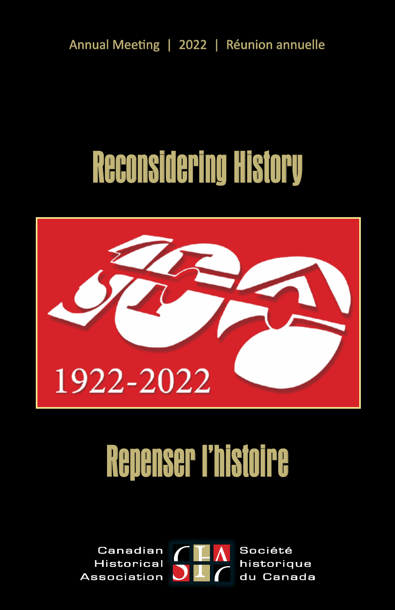Annual Meeting | 2022 | Réunion annuelle

# Reconsidering History



# Repenser l'histoire

Canadian Société **Historical** historique **Association** du Canada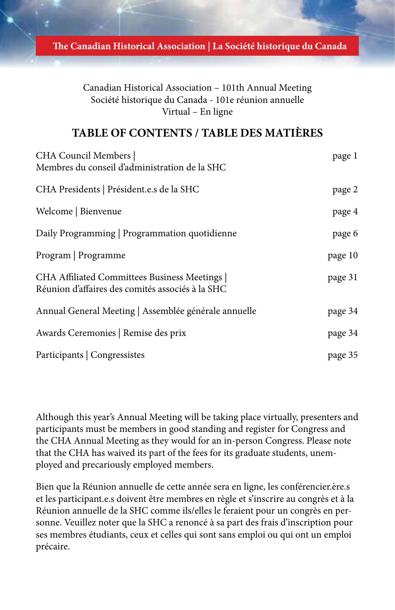**The Canadian Historical Association | La Société historique du Canada**

Canadian Historical Association – 101th Annual Meeting Société historique du Canada - 101e réunion annuelle Virtual – En ligne

## **TABLE OF CONTENTS / TABLE DES MATIÈRES**

| CHA Council Members  <br>Membres du conseil d'administration de la SHC                          | page 1  |
|-------------------------------------------------------------------------------------------------|---------|
| CHA Presidents   Président.e.s de la SHC                                                        | page 2  |
| Welcome   Bienvenue                                                                             | page 4  |
| Daily Programming   Programmation quotidienne                                                   | page 6  |
| Program   Programme                                                                             | page 10 |
| CHA Affiliated Committees Business Meetings<br>Réunion d'affaires des comités associés à la SHC | page 31 |
| Annual General Meeting   Assemblée générale annuelle                                            | page 34 |
| Awards Ceremonies   Remise des prix                                                             | page 34 |
| Participants   Congressistes                                                                    | page 35 |

Although this year's Annual Meeting will be taking place virtually, presenters and participants must be members in good standing and register for Congress and the CHA Annual Meeting as they would for an in-person Congress. Please note that the CHA has waived its part of the fees for its graduate students, unemployed and precariously employed members.

Bien que la Réunion annuelle de cette année sera en ligne, les conférencier.ère.s et les participant.e.s doivent être membres en règle et s'inscrire au congrès et à la Réunion annuelle de la SHC comme ils/elles le feraient pour un congrès en personne. Veuillez noter que la SHC a renoncé à sa part des frais d'inscription pour ses membres étudiants, ceux et celles qui sont sans emploi ou qui ont un emploi précaire.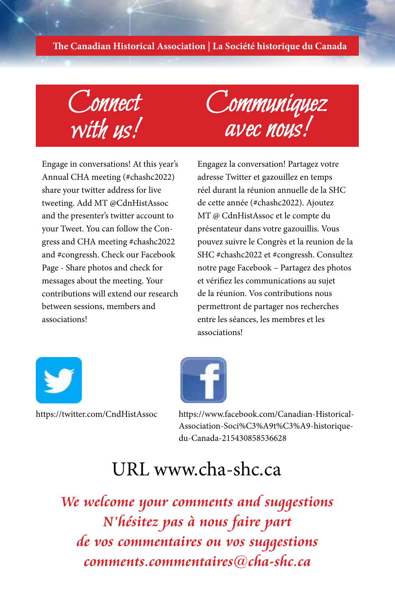#### **The Canadian Historical Association | La Société historique du Canada**

Connect with us!

Communiquez avec nous!

Engage in conversations! At this year's Annual CHA meeting (#chashc2022) share your twitter address for live tweeting. Add MT @CdnHistAssoc and the presenter's twitter account to your Tweet. You can follow the Congress and CHA meeting #chashc2022 and #congressh. Check our Facebook Page - Share photos and check for messages about the meeting. Your contributions will extend our research between sessions, members and associations!

Engagez la conversation! Partagez votre adresse Twitter et gazouillez en temps réel durant la réunion annuelle de la SHC de cette année (#chashc2022). Ajoutez MT @ CdnHistAssoc et le compte du présentateur dans votre gazouillis. Vous pouvez suivre le Congrès et la reunion de la SHC #chashc2022 et #congressh. Consultez notre page Facebook – Partagez des photos et vérifiez les communications au sujet de la réunion. Vos contributions nous permettront de partager nos recherches entre les séances, les membres et les associations!





# [URL www.cha-shc.ca](http://www.cha-shc.ca)

**We welcome your comments and suggestions N'hésitez pas à nous faire part de vos commentaires ou vos suggestions comments.commentaires@cha-shc.ca**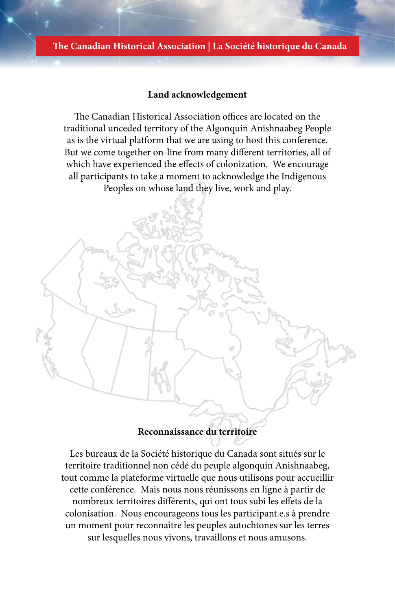#### **The Canadian Historical Association | La Société historique du Canada**

#### **Land acknowledgement**

The Canadian Historical Association offices are located on the traditional unceded territory of the Algonquin Anishnaabeg People as is the virtual platform that we are using to host this conference. But we come together on-line from many different territories, all of which have experienced the effects of colonization. We encourage all participants to take a moment to acknowledge the Indigenous Peoples on whose land they live, work and play.



# **Reconnaissance du territoire**

Les bureaux de la Société historique du Canada sont situés sur le territoire traditionnel non cédé du peuple algonquin Anishnaabeg, tout comme la plateforme virtuelle que nous utilisons pour accueillir cette conférence. Mais nous nous réunissons en ligne à partir de nombreux territoires différents, qui ont tous subi les effets de la colonisation. Nous encourageons tous les participant.e.s à prendre un moment pour reconnaître les peuples autochtones sur les terres sur lesquelles nous vivons, travaillons et nous amusons.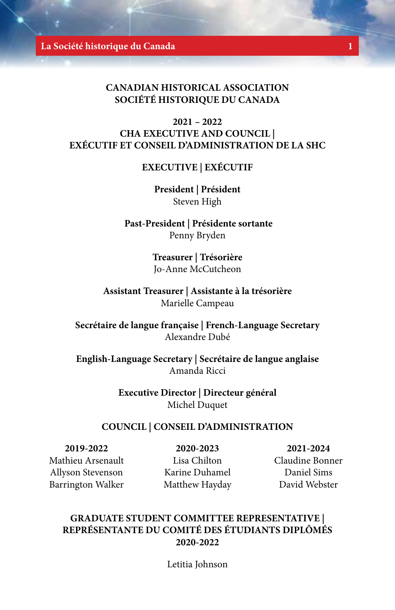**La Société historique du Canada 1**

### **CANADIAN HISTORICAL ASSOCIATION SOCIÉTÉ HISTORIQUE DU CANADA**

# **2021 – 2022 CHA EXECUTIVE AND COUNCIL | EXÉCUTIF ET CONSEIL D'ADMINISTRATION DE LA SHC**

#### **EXECUTIVE | EXÉCUTIF**

**President | Président** Steven High

 **Past-President | Présidente sortante**  Penny Bryden

> **Treasurer | Trésorière** Jo-Anne McCutcheon

**Assistant Treasurer | Assistante à la trésorière**  Marielle Campeau

**Secrétaire de langue française | French-Language Secretary**  Alexandre Dubé

**English-Language Secretary | Secrétaire de langue anglaise**  Amanda Ricci

> **Executive Director | Directeur général**  Michel Duquet

#### **COUNCIL | CONSEIL D'ADMINISTRATION**

**2019-2022** Mathieu Arsenault Allyson Stevenson Barrington Walker

**2020-2023**

Lisa Chilton Karine Duhamel Matthew Hayday

**2021-2024** Claudine Bonner Daniel Sims

David Webster

### **GRADUATE STUDENT COMMITTEE REPRESENTATIVE | REPRÉSENTANTE DU COMITÉ DES ÉTUDIANTS DIPLÔMÉS 2020-2022**

Letitia Johnson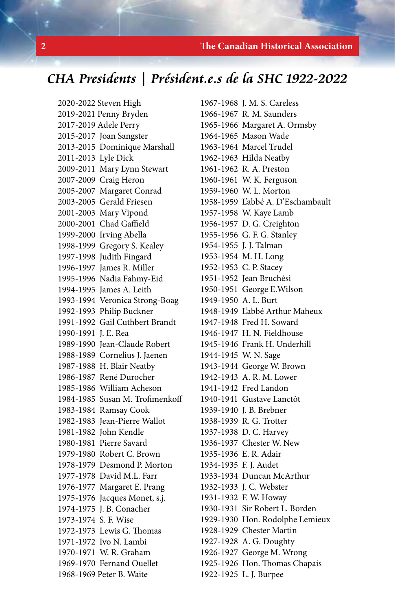#### **2 The Canadian Historical Association**

# **CHA Presidents | Président.e.s de la SHC 1922-2022**

2020-2022 Steven High 2019-2021 Penny Bryden 2017-2019 Adele Perry 2015-2017 Joan Sangster 2013-2015 Dominique Marshall 2011-2013 Lyle Dick 2009-2011 Mary Lynn Stewart 2007-2009 Craig Heron 2005-2007 Margaret Conrad 2003-2005 Gerald Friesen 2001-2003 Mary Vipond 2000-2001 Chad Gaffield 1999-2000 Irving Abella 1998-1999 Gregory S. Kealey 1997-1998 Judith Fingard 1996-1997 James R. Miller 1995-1996 Nadia Fahmy-Eid 1994-1995 James A. Leith 1993-1994 Veronica Strong-Boag 1992-1993 Philip Buckner 1991-1992 Gail Cuthbert Brandt 1990-1991 J. E. Rea 1989-1990 Jean-Claude Robert 1988-1989 Cornelius J. Jaenen 1987-1988 H. Blair Neatby 1986-1987 René Durocher 1985-1986 William Acheson 1984-1985 Susan M. Trofimenkoff 1983-1984 Ramsay Cook 1982-1983 Jean-Pierre Wallot 1981-1982 John Kendle 1980-1981 Pierre Savard 1979-1980 Robert C. Brown 1978-1979 Desmond P. Morton 1977-1978 David M.L. Farr 1976-1977 Margaret E. Prang 1975-1976 Jacques Monet, s.j. 1974-1975 J. B. Conacher 1973-1974 S. F. Wise 1972-1973 Lewis G. Thomas 1971-1972 Ivo N. Lambi 1970-1971 W. R. Graham 1969-1970 Fernand Ouellet 1968-1969 Peter B. Waite

1967-1968 J. M. S. Careless 1966-1967 R. M. Saunders 1965-1966 Margaret A. Ormsby 1964-1965 Mason Wade 1963-1964 Marcel Trudel 1962-1963 Hilda Neatby 1961-1962 R. A. Preston 1960-1961 W. K. Ferguson 1959-1960 W. L. Morton 1958-1959 L'abbé A. D'Eschambault 1957-1958 W. Kaye Lamb 1956-1957 D. G. Creighton 1955-1956 G. F. G. Stanley 1954-1955 J. J. Talman 1953-1954 M. H. Long 1952-1953 C. P. Stacey 1951-1952 Jean Bruchési 1950-1951 George E.Wilson 1949-1950 A. L. Burt 1948-1949 L'abbé Arthur Maheux 1947-1948 Fred H. Soward 1946-1947 H. N. Fieldhouse 1945-1946 Frank H. Underhill 1944-1945 W. N. Sage 1943-1944 George W. Brown 1942-1943 A. R. M. Lower 1941-1942 Fred Landon 1940-1941 Gustave Lanctôt 1939-1940 J. B. Brebner 1938-1939 R. G. Trotter 1937-1938 D. C. Harvey 1936-1937 Chester W. New 1935-1936 E. R. Adair 1934-1935 F. J. Audet 1933-1934 Duncan McArthur 1932-1933 J. C. Webster 1931-1932 F. W. Howay 1930-1931 Sir Robert L. Borden 1929-1930 Hon. Rodolphe Lemieux 1928-1929 Chester Martin 1927-1928 A. G. Doughty 1926-1927 George M. Wrong 1925-1926 Hon. Thomas Chapais 1922-1925 L. J. Burpee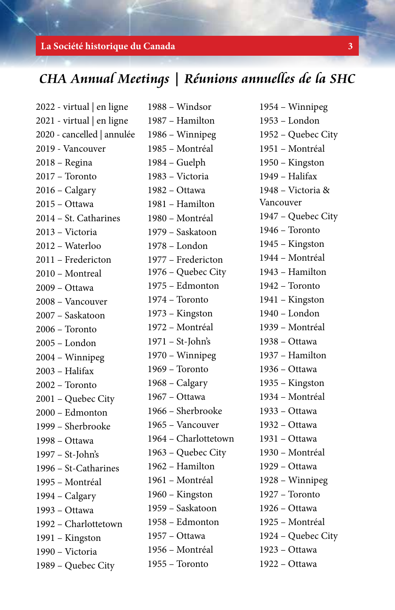#### **La Société historique du Canada 3**

# **CHA Annual Meetings | Réunions annuelles de la SHC**

1988 – Windsor

2022 - virtual | en ligne 2021 - virtual | en ligne 2020 - cancelled | annulée 2019 - Vancouver 2018 – Regina 2017 – Toronto 2016 – Calgary 2015 – Ottawa 2014 – St. Catharines 2013 – Victoria 2012 – Waterloo 2011 – Fredericton 2010 – Montreal 2009 – Ottawa 2008 – Vancouver 2007 – Saskatoon 2006 – Toronto 2005 – London 2004 – Winnipeg 2003 – Halifax 2002 – Toronto 2001 – Quebec City 2000 – Edmonton 1999 – Sherbrooke 1998 – Ottawa 1997 – St-John's 1996 – St-Catharines 1995 – Montréal 1994 – Calgary 1993 – Ottawa 1992 – Charlottetown 1991 – Kingston 1990 – Victoria 1989 – Quebec City

1987 – Hamilton 1986 – Winnipeg 1985 – Montréal 1984 – Guelph 1983 – Victoria 1982 – Ottawa 1981 – Hamilton 1980 – Montréal 1979 – Saskatoon 1978 – London 1977 – Fredericton 1976 – Quebec City 1975 – Edmonton 1974 – Toronto 1973 – Kingston 1972 – Montréal 1971 – St-John's 1970 – Winnipeg 1969 – Toronto 1968 – Calgary 1967 – Ottawa 1966 – Sherbrooke 1965 – Vancouver 1964 – Charlottetown 1963 – Quebec City 1962 – Hamilton 1961 – Montréal 1960 – Kingston 1959 – Saskatoon 1958 – Edmonton 1957 – Ottawa 1956 – Montréal 1955 – Toronto

1954 – Winnipeg 1953 – London 1952 – Quebec City 1951 – Montréal 1950 – Kingston 1949 – Halifax 1948 – Victoria & Vancouver 1947 – Quebec City 1946 – Toronto 1945 – Kingston 1944 – Montréal 1943 – Hamilton 1942 – Toronto 1941 – Kingston 1940 – London 1939 – Montréal 1938 – Ottawa 1937 – Hamilton 1936 – Ottawa 1935 – Kingston 1934 – Montréal 1933 – Ottawa 1932 – Ottawa 1931 – Ottawa 1930 – Montréal 1929 – Ottawa 1928 – Winnipeg 1927 – Toronto 1926 – Ottawa 1925 – Montréal 1924 – Quebec City 1923 – Ottawa 1922 – Ottawa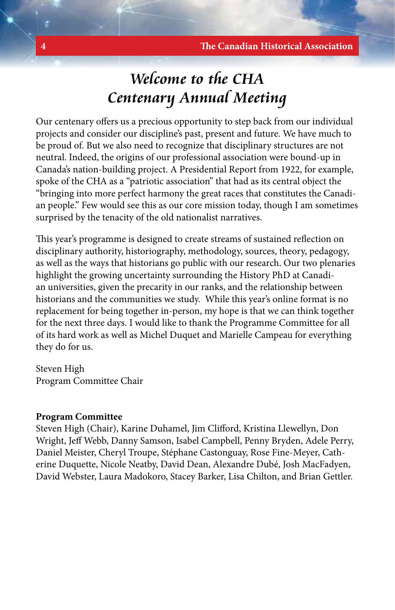# **Welcome to the CHA Centenary Annual Meeting**

Our centenary offers us a precious opportunity to step back from our individual projects and consider our discipline's past, present and future. We have much to be proud of. But we also need to recognize that disciplinary structures are not neutral. Indeed, the origins of our professional association were bound-up in Canada's nation-building project. A Presidential Report from 1922, for example, spoke of the CHA as a "patriotic association" that had as its central object the "bringing into more perfect harmony the great races that constitutes the Canadian people." Few would see this as our core mission today, though I am sometimes surprised by the tenacity of the old nationalist narratives.

This year's programme is designed to create streams of sustained reflection on disciplinary authority, historiography, methodology, sources, theory, pedagogy, as well as the ways that historians go public with our research. Our two plenaries highlight the growing uncertainty surrounding the History PhD at Canadian universities, given the precarity in our ranks, and the relationship between historians and the communities we study. While this year's online format is no replacement for being together in-person, my hope is that we can think together for the next three days. I would like to thank the Programme Committee for all of its hard work as well as Michel Duquet and Marielle Campeau for everything they do for us.

Steven High Program Committee Chair

#### **Program Committee**

Steven High (Chair), Karine Duhamel, Jim Clifford, Kristina Llewellyn, Don Wright, Jeff Webb, Danny Samson, Isabel Campbell, Penny Bryden, Adele Perry, Daniel Meister, Cheryl Troupe, Stéphane Castonguay, Rose Fine-Meyer, Catherine Duquette, Nicole Neatby, David Dean, Alexandre Dubé, Josh MacFadyen, David Webster, Laura Madokoro, Stacey Barker, Lisa Chilton, and Brian Gettler.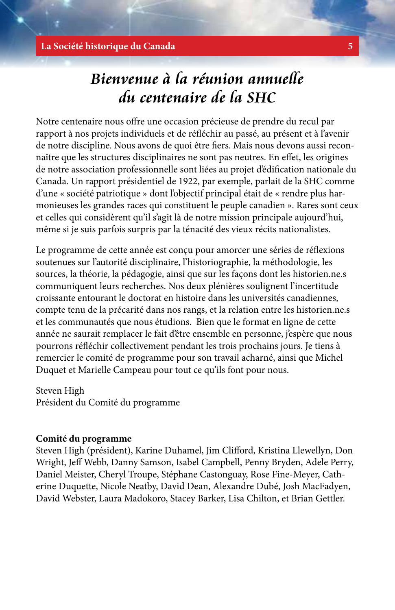# **Bienvenue à la réunion annuelle du centenaire de la SHC**

Notre centenaire nous offre une occasion précieuse de prendre du recul par rapport à nos projets individuels et de réfléchir au passé, au présent et à l'avenir de notre discipline. Nous avons de quoi être fiers. Mais nous devons aussi reconnaître que les structures disciplinaires ne sont pas neutres. En effet, les origines de notre association professionnelle sont liées au projet d'édification nationale du Canada. Un rapport présidentiel de 1922, par exemple, parlait de la SHC comme d'une « société patriotique » dont l'objectif principal était de « rendre plus harmonieuses les grandes races qui constituent le peuple canadien ». Rares sont ceux et celles qui considèrent qu'il s'agit là de notre mission principale aujourd'hui, même si je suis parfois surpris par la ténacité des vieux récits nationalistes.

Le programme de cette année est conçu pour amorcer une séries de réflexions soutenues sur l'autorité disciplinaire, l'historiographie, la méthodologie, les sources, la théorie, la pédagogie, ainsi que sur les façons dont les historien.ne.s communiquent leurs recherches. Nos deux plénières soulignent l'incertitude croissante entourant le doctorat en histoire dans les universités canadiennes, compte tenu de la précarité dans nos rangs, et la relation entre les historien.ne.s et les communautés que nous étudions. Bien que le format en ligne de cette année ne saurait remplacer le fait d'être ensemble en personne, j'espère que nous pourrons réfléchir collectivement pendant les trois prochains jours. Je tiens à remercier le comité de programme pour son travail acharné, ainsi que Michel Duquet et Marielle Campeau pour tout ce qu'ils font pour nous.

Steven High Président du Comité du programme

#### **Comité du programme**

Steven High (président), Karine Duhamel, Jim Clifford, Kristina Llewellyn, Don Wright, Jeff Webb, Danny Samson, Isabel Campbell, Penny Bryden, Adele Perry, Daniel Meister, Cheryl Troupe, Stéphane Castonguay, Rose Fine-Meyer, Catherine Duquette, Nicole Neatby, David Dean, Alexandre Dubé, Josh MacFadyen, David Webster, Laura Madokoro, Stacey Barker, Lisa Chilton, et Brian Gettler.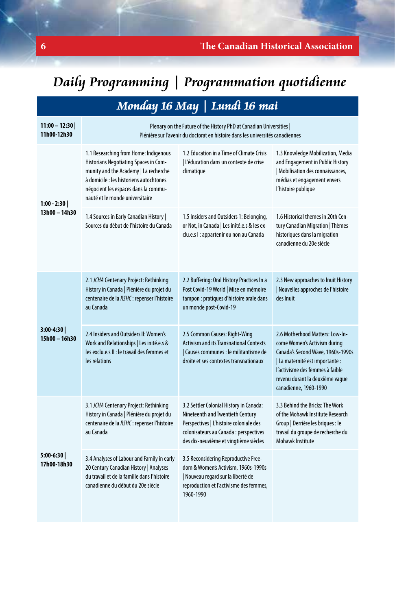# **Daily Programming | Programmation quotidienne**

# **Monday 16 May | Lundi 16 mai**

| $11:00 - 12:30$<br>11h00-12h30 | Plenary on the Future of the History PhD at Canadian Universities  <br>Plénière sur l'avenir du doctorat en histoire dans les universités canadiennes                                                                                         |                                                                                                                                                                                                           |                                                                                                                                                                                                                                        |  |
|--------------------------------|-----------------------------------------------------------------------------------------------------------------------------------------------------------------------------------------------------------------------------------------------|-----------------------------------------------------------------------------------------------------------------------------------------------------------------------------------------------------------|----------------------------------------------------------------------------------------------------------------------------------------------------------------------------------------------------------------------------------------|--|
| $1:00 - 2:30$<br>13h00 - 14h30 | 1.1 Researching from Home: Indigenous<br>Historians Negotiating Spaces in Com-<br>munity and the Academy   La recherche<br>à domicile : les historiens autochtones<br>négocient les espaces dans la commu-<br>nauté et le monde universitaire | 1.2 Education in a Time of Climate Crisis<br>L'éducation dans un contexte de crise<br>climatique                                                                                                          | 1.3 Knowledge Mobilization, Media<br>and Engagement in Public History<br>  Mobilisation des connaissances,<br>médias et engagement envers<br>l'histoire publique                                                                       |  |
|                                | 1.4 Sources in Early Canadian History  <br>Sources du début de l'histoire du Canada                                                                                                                                                           | 1.5 Insiders and Outsiders 1: Belonging,<br>or Not, in Canada   Les inité.e.s & les ex-<br>clu.e.s I : appartenir ou non au Canada                                                                        | 1.6 Historical themes in 20th Cen-<br>tury Canadian Migration   Thèmes<br>historiques dans la migration<br>canadienne du 20e siècle                                                                                                    |  |
| 3:00-4:30<br>15h00 - 16h30     | 2.1 JCHA Centenary Project: Rethinking<br>History in Canada   Plénière du projet du<br>centenaire de la RSHC : repenser l'histoire<br>au Canada                                                                                               | 2.2 Buffering: Oral History Practices In a<br>Post Covid-19 World   Mise en mémoire<br>tampon : pratiques d'histoire orale dans<br>un monde post-Covid-19                                                 | 2.3 New approaches to Inuit History<br>  Nouvelles approches de l'histoire<br>des Inuit                                                                                                                                                |  |
|                                | 2.4 Insiders and Outsiders II: Women's<br>Work and Relationships   Les inité.e.s &<br>les exclu.e.s II : le travail des femmes et<br>les relations                                                                                            | 2.5 Common Causes: Right-Wing<br><b>Activism and its Transnational Contexts</b><br>  Causes communes : le militantisme de<br>droite et ses contextes transnationaux                                       | 2.6 Motherhood Matters: Low-In-<br>come Women's Activism during<br>Canada's Second Wave, 1960s-1990s<br>  La maternité est importante :<br>l'activisme des femmes à faible<br>revenu durant la deuxième vaque<br>canadienne, 1960-1990 |  |
| $5:00-6:30$<br>17h00-18h30     | 3.1 JCHA Centenary Project: Rethinking<br>History in Canada   Plénière du projet du<br>centenaire de la RSHC : repenser l'histoire<br>au Canada                                                                                               | 3.2 Settler Colonial History in Canada:<br>Nineteenth and Twentieth Century<br>Perspectives   L'histoire coloniale des<br>colonisateurs au Canada : perspectives<br>des dix-neuvième et vingtième siècles | 3.3 Behind the Bricks: The Work<br>of the Mohawk Institute Research<br>Group   Derrière les briques : le<br>travail du groupe de recherche du<br>Mohawk Institute                                                                      |  |
|                                | 3.4 Analyses of Labour and Family in early<br>20 Century Canadian History   Analyses<br>du travail et de la famille dans l'histoire<br>canadienne du début du 20e siècle                                                                      | 3.5 Reconsidering Reproductive Free-<br>dom & Women's Activism, 1960s-1990s<br>  Nouveau regard sur la liberté de<br>reproduction et l'activisme des femmes,<br>1960-1990                                 |                                                                                                                                                                                                                                        |  |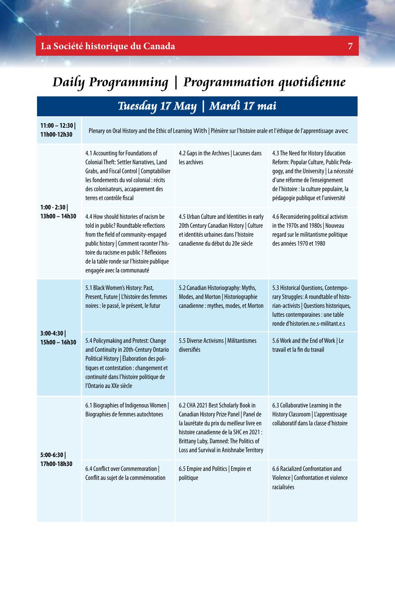# **La Société historique du Canada 7**

# **Daily Programming | Programmation quotidienne**

# **Tuesday 17 May | Mardi 17 mai**

| $11:00 - 12:30$<br>11h00-12h30 | Plenary on Oral History and the Ethic of Learning With   Plénière sur l'histoire orale et l'éthique de l'apprentissage avec                                                                                                                                                              |                                                                                                                                                                                                                                                              |                                                                                                                                                                                                                                             |  |
|--------------------------------|------------------------------------------------------------------------------------------------------------------------------------------------------------------------------------------------------------------------------------------------------------------------------------------|--------------------------------------------------------------------------------------------------------------------------------------------------------------------------------------------------------------------------------------------------------------|---------------------------------------------------------------------------------------------------------------------------------------------------------------------------------------------------------------------------------------------|--|
| $1:00 - 2:30$<br>13h00 - 14h30 | 4.1 Accounting for Foundations of<br><b>Colonial Theft: Settler Narratives, Land</b><br>Grabs, and Fiscal Control   Comptabiliser<br>les fondements du vol colonial : récits<br>des colonisateurs, accaparement des<br>terres et contrôle fiscal                                         | 4.2 Gaps in the Archives   Lacunes dans<br>les archives                                                                                                                                                                                                      | 4.3 The Need for History Education<br>Reform: Popular Culture, Public Peda-<br>gogy, and the University   La nécessité<br>d'une réforme de l'enseignement<br>de l'histoire : la culture populaire, la<br>pédagogie publique et l'université |  |
|                                | 4.4 How should histories of racism be<br>told in public? Roundtable reflections<br>from the field of community-engaged<br>public history   Comment raconter l'his-<br>toire du racisme en public ? Réflexions<br>de la table ronde sur l'histoire publique<br>engagée avec la communauté | 4.5 Urban Culture and Identities in early<br>20th Century Canadian History   Culture<br>et identités urbaines dans l'histoire<br>canadienne du début du 20e siècle                                                                                           | 4.6 Reconsidering political activism<br>in the 1970s and 1980s   Nouveau<br>regard sur le militantisme politique<br>des années 1970 et 1980                                                                                                 |  |
| 3:00-4:30<br>15h00 - 16h30     | 5.1 Black Women's History: Past,<br>Present, Future   L'histoire des femmes<br>noires : le passé, le présent, le futur                                                                                                                                                                   | 5.2 Canadian Historiography: Myths,<br>Modes, and Morton   Historiographie<br>canadienne : mythes, modes, et Morton                                                                                                                                          | 5.3 Historical Questions, Contempo-<br>rary Struggles: A roundtable of histo-<br>rian-activists   Questions historiques,<br>luttes contemporaines : une table<br>ronde d'historien.ne.s-militant.e.s                                        |  |
|                                | 5.4 Policymaking and Protest: Change<br>and Continuity in 20th-Century Ontario<br>Political History   Élaboration des poli-<br>tiques et contestation : changement et<br>continuité dans l'histoire politique de<br>l'Ontario au XXe siècle                                              | 5.5 Diverse Activisms   Militantismes<br>diversifiés                                                                                                                                                                                                         | 5.6 Work and the End of Work   Le<br>travail et la fin du travail                                                                                                                                                                           |  |
| 5:00-6:30<br>17h00-18h30       | 6.1 Biographies of Indigenous Women  <br>Biographies de femmes autochtones                                                                                                                                                                                                               | 6.2 CHA 2021 Best Scholarly Book in<br>Canadian History Prize Panel   Panel de<br>la laurétate du prix du meilleur livre en<br>histoire canadienne de la SHC en 2021 :<br>Brittany Luby, Damned: The Politics of<br>Loss and Survival in Anishnabe Territory | 6.3 Collaborative Learning in the<br>History Classroom   L'apprentissage<br>collaboratif dans la classe d'histoire                                                                                                                          |  |
|                                | 6.4 Conflict over Commemoration  <br>Conflit au sujet de la commémoration                                                                                                                                                                                                                | 6.5 Empire and Politics   Empire et<br>politique                                                                                                                                                                                                             | 6.6 Racialized Confrontation and<br>Violence   Confrontation et violence<br>racialisées                                                                                                                                                     |  |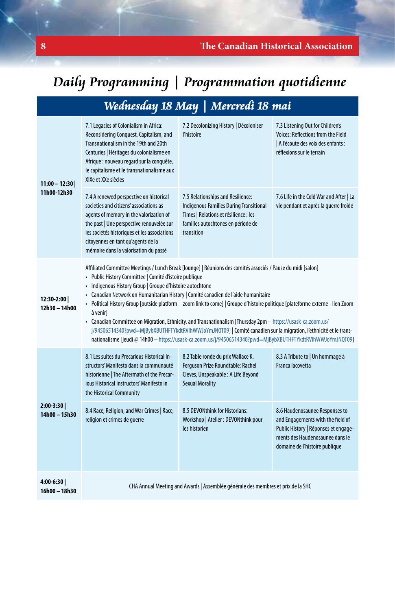# **Daily Programming | Programmation quotidienne**

| Wednesday 18 May   Mercredi 18 mai |  |  |
|------------------------------------|--|--|
|                                    |  |  |

| $11:00 - 12:30$<br>11h00-12h30 | 7.1 Legacies of Colonialism in Africa:<br>Reconsidering Conquest, Capitalism, and<br>Transnationalism in the 19th and 20th<br>Centuries   Héritages du colonialisme en<br>Afrique : nouveau regard sur la conquête,<br>le capitalisme et le transnationalisme aux<br>XIXe et XXe siècles                                                                                                                                                                                                                                                                                                                                                                                                                                                                                                                                  | 7.2 Decolonizing History   Décoloniser<br>l'histoire                                                                                                                             | 7.3 Listening Out for Children's<br><b>Voices: Reflections from the Field</b><br>  A l'écoute des voix des enfants :<br>réflexions sur le terrain                                |  |
|--------------------------------|---------------------------------------------------------------------------------------------------------------------------------------------------------------------------------------------------------------------------------------------------------------------------------------------------------------------------------------------------------------------------------------------------------------------------------------------------------------------------------------------------------------------------------------------------------------------------------------------------------------------------------------------------------------------------------------------------------------------------------------------------------------------------------------------------------------------------|----------------------------------------------------------------------------------------------------------------------------------------------------------------------------------|----------------------------------------------------------------------------------------------------------------------------------------------------------------------------------|--|
|                                | 7.4 A renewed perspective on historical<br>societies and citizens' associations as<br>agents of memory in the valorization of<br>the past   Une perspective renouvelée sur<br>les sociétés historiques et les associations<br>citoyennes en tant qu'agents de la<br>mémoire dans la valorisation du passé                                                                                                                                                                                                                                                                                                                                                                                                                                                                                                                 | 7.5 Relationships and Resilience:<br><b>Indigenous Families During Transitional</b><br>Times   Relations et résilience : les<br>familles autochtones en période de<br>transition | 7.6 Life in the Cold War and After   La<br>vie pendant et après la querre froide                                                                                                 |  |
| $12:30-2:00$<br>12h30 - 14h00  | Affiliated Committee Meetings / Lunch Break [lounge]   Réunions des comités associés / Pause du midi [salon]<br>· Public History Committee   Comité d'istoire publique<br>• Indigenous History Group   Groupe d'histoire autochtone<br>- Canadian Network on Humanitarian History   Comité canadien de l'aide humanitaire<br>• Political History Group [outside platform - zoom link to come]   Groupe d'histoire politique [plateforme externe - lien Zoom<br>à venirl<br>- Canadian Committee on Migration, Ethnicity, and Transnationalism [Thursday 2pm - https://usask-ca.zoom.us/<br>j/94506514340?pwd=MjBybXBUTHFTYkdtRVlhWWJoYmJNQT09]   Comité canadien sur la migration, l'ethnicité et le trans-<br>nationalisme [jeudi @ 14h00 - https://usask-ca.zoom.us/j/94506514340?pwd=MjBybXBUTHFTYkdtRVlhWWJoYmJNQT09] |                                                                                                                                                                                  |                                                                                                                                                                                  |  |
| $2:00-3:30$<br>14h00 - 15h30   | 8.1 Les suites du Precarious Historical In-<br>structors' Manifesto dans la communauté<br>historienne   The Aftermath of the Precar-<br>jous Historical Instructors' Manifesto in<br>the Historical Community                                                                                                                                                                                                                                                                                                                                                                                                                                                                                                                                                                                                             | 8.2 Table ronde du prix Wallace K.<br>Ferguson Prize Roundtable: Rachel<br>Cleves, Unspeakable : A Life Beyond<br><b>Sexual Morality</b>                                         | 8.3 A Tribute to   Un hommage à<br>Franca lacovetta                                                                                                                              |  |
|                                | 8.4 Race, Religion, and War Crimes   Race,<br>religion et crimes de querre                                                                                                                                                                                                                                                                                                                                                                                                                                                                                                                                                                                                                                                                                                                                                | 8.5 DEVONthink for Historians:<br>Workshop   Atelier : DEVONthink pour<br>les historien                                                                                          | 8.6 Haudenosaunee Responses to<br>and Engagements with the field of<br>Public History   Réponses et engage-<br>ments des Haudenosaunee dans le<br>domaine de l'histoire publique |  |
| 4:00-6:30<br>16h00 - 18h30     | CHA Annual Meeting and Awards   Assemblée générale des membres et prix de la SHC                                                                                                                                                                                                                                                                                                                                                                                                                                                                                                                                                                                                                                                                                                                                          |                                                                                                                                                                                  |                                                                                                                                                                                  |  |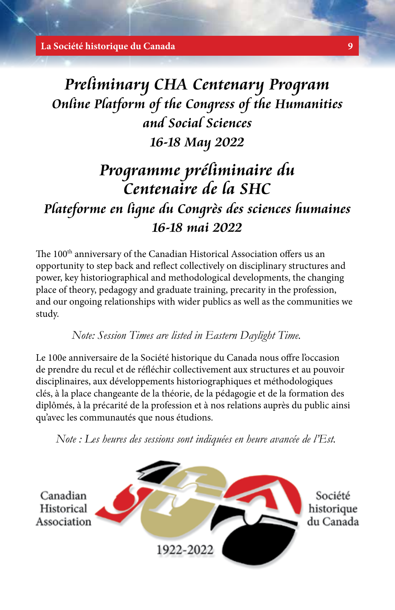**La Société historique du Canada 9**

# **Preliminary CHA Centenary Program Online Platform of the Congress of the Humanities and Social Sciences 16-18 May 2022**

# **Programme préliminaire du Centenaire de la SHC Plateforme en ligne du Congrès des sciences humaines 16-18 mai 2022**

The 100<sup>th</sup> anniversary of the Canadian Historical Association offers us an opportunity to step back and reflect collectively on disciplinary structures and power, key historiographical and methodological developments, the changing place of theory, pedagogy and graduate training, precarity in the profession, and our ongoing relationships with wider publics as well as the communities we study.

*Note: Session Times are listed in Eastern Daylight Time.*

Le 100e anniversaire de la Société historique du Canada nous offre l'occasion de prendre du recul et de réfléchir collectivement aux structures et au pouvoir disciplinaires, aux développements historiographiques et méthodologiques clés, à la place changeante de la théorie, de la pédagogie et de la formation des diplômés, à la précarité de la profession et à nos relations auprès du public ainsi qu'avec les communautés que nous étudions.

*Note : Les heures des sessions sont indiquées en heure avancée de l'Est.*

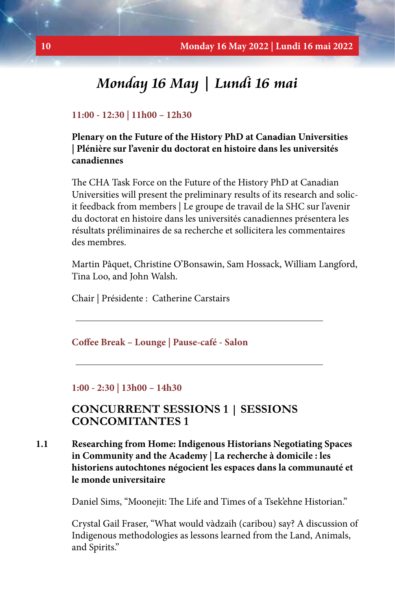# **Monday 16 May | Lundi 16 mai**

#### **11:00 - 12:30 | 11h00 – 12h30**

**Plenary on the Future of the History PhD at Canadian Universities | Plénière sur l'avenir du doctorat en histoire dans les universités canadiennes**

The CHA Task Force on the Future of the History PhD at Canadian Universities will present the preliminary results of its research and solicit feedback from members | Le groupe de travail de la SHC sur l'avenir du doctorat en histoire dans les universités canadiennes présentera les résultats préliminaires de sa recherche et sollicitera les commentaires des membres.

Martin Pâquet, Christine O'Bonsawin, Sam Hossack, William Langford, Tina Loo, and John Walsh.

Chair | Présidente : Catherine Carstairs

**Coffee Break – Lounge | Pause-café - Salon**

#### **1:00 - 2:30 | 13h00 – 14h30**

# **CONCURRENT SESSIONS 1 | SESSIONS CONCOMITANTES 1**

**1.1 Researching from Home: Indigenous Historians Negotiating Spaces in Community and the Academy | La recherche à domicile : les historiens autochtones négocient les espaces dans la communauté et le monde universitaire**

Daniel Sims, "Moonejit: The Life and Times of a Tsek'ehne Historian."

Crystal Gail Fraser, "What would vàdzaih (caribou) say? A discussion of Indigenous methodologies as lessons learned from the Land, Animals, and Spirits."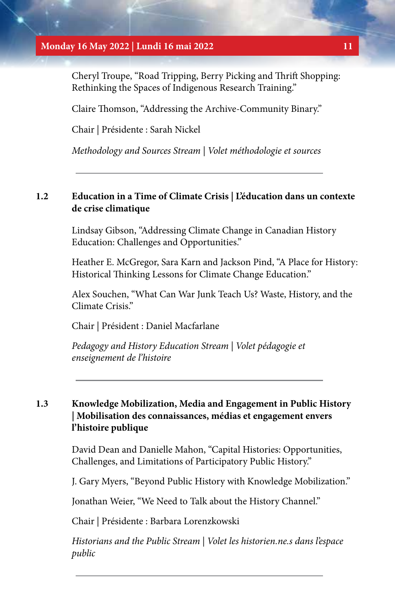#### **Monday 16 May 2022 | Lundi 16 mai 2022 11**

Cheryl Troupe, "Road Tripping, Berry Picking and Thrift Shopping: Rethinking the Spaces of Indigenous Research Training."

Claire Thomson, "Addressing the Archive-Community Binary."

Chair | Présidente : Sarah Nickel

*Methodology and Sources Stream | Volet méthodologie et sources*

## **1.2 Education in a Time of Climate Crisis | L'éducation dans un contexte de crise climatique**

Lindsay Gibson, "Addressing Climate Change in Canadian History Education: Challenges and Opportunities."

Heather E. McGregor, Sara Karn and Jackson Pind, "A Place for History: Historical Thinking Lessons for Climate Change Education."

Alex Souchen, "What Can War Junk Teach Us? Waste, History, and the Climate Crisis."

Chair | Président : Daniel Macfarlane

*Pedagogy and History Education Stream | Volet pédagogie et enseignement de l'histoire*

# **1.3 Knowledge Mobilization, Media and Engagement in Public History | Mobilisation des connaissances, médias et engagement envers l'histoire publique**

David Dean and Danielle Mahon, "Capital Histories: Opportunities, Challenges, and Limitations of Participatory Public History."

J. Gary Myers, "Beyond Public History with Knowledge Mobilization."

Jonathan Weier, "We Need to Talk about the History Channel."

Chair | Présidente : Barbara Lorenzkowski

*Historians and the Public Stream | Volet les historien.ne.s dans l'espace public*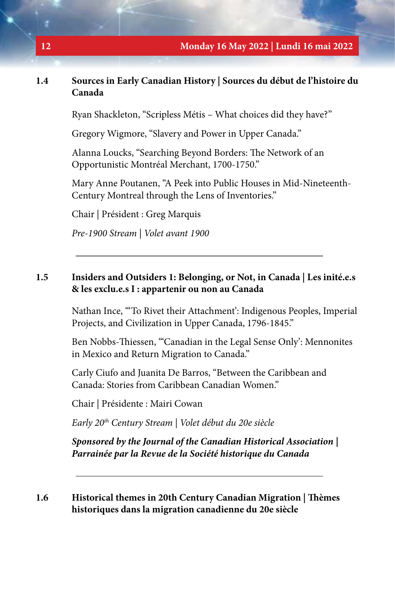# **1.4 Sources in Early Canadian History | Sources du début de l'histoire du Canada**

Ryan Shackleton, "Scripless Métis – What choices did they have?"

Gregory Wigmore, "Slavery and Power in Upper Canada."

Alanna Loucks, "Searching Beyond Borders: The Network of an Opportunistic Montréal Merchant, 1700-1750."

Mary Anne Poutanen, "A Peek into Public Houses in Mid-Nineteenth-Century Montreal through the Lens of Inventories."

Chair | Président : Greg Marquis

*Pre-1900 Stream | Volet avant 1900*

### **1.5 Insiders and Outsiders 1: Belonging, or Not, in Canada | Les inité.e.s & les exclu.e.s I : appartenir ou non au Canada**

Nathan Ince, "'To Rivet their Attachment': Indigenous Peoples, Imperial Projects, and Civilization in Upper Canada, 1796-1845."

Ben Nobbs-Thiessen, "'Canadian in the Legal Sense Only': Mennonites in Mexico and Return Migration to Canada."

Carly Ciufo and Juanita De Barros, "Between the Caribbean and Canada: Stories from Caribbean Canadian Women."

Chair | Présidente : Mairi Cowan

*Early 20th Century Stream | Volet début du 20e siècle*

*Sponsored by the Journal of the Canadian Historical Association | Parrainée par la Revue de la Société historique du Canada*

### **1.6 Historical themes in 20th Century Canadian Migration | Thèmes historiques dans la migration canadienne du 20e siècle**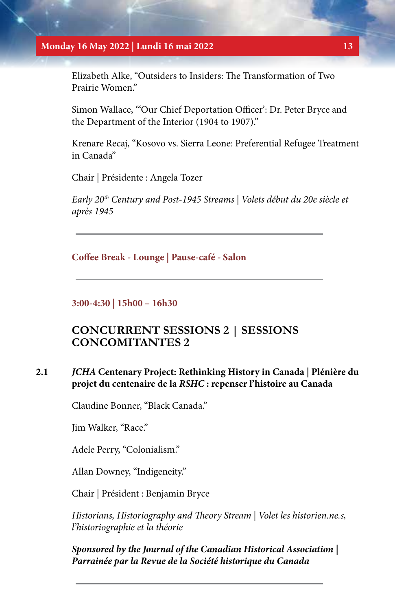#### **Monday 16 May 2022 | Lundi 16 mai 2022 13**

Elizabeth Alke, "Outsiders to Insiders: The Transformation of Two Prairie Women."

Simon Wallace, "'Our Chief Deportation Officer': Dr. Peter Bryce and the Department of the Interior (1904 to 1907)."

Krenare Recaj, "Kosovo vs. Sierra Leone: Preferential Refugee Treatment in Canada"

Chair | Présidente : Angela Tozer

*Early 20th Century and Post-1945 Streams | Volets début du 20e siècle et après 1945*

**Coffee Break - Lounge | Pause-café - Salon**

**3:00-4:30 | 15h00 – 16h30**

# **CONCURRENT SESSIONS 2 | SESSIONS CONCOMITANTES 2**

### **2.1** *JCHA* **Centenary Project: Rethinking History in Canada | Plénière du projet du centenaire de la** *RSHC* **: repenser l'histoire au Canada**

Claudine Bonner, "Black Canada."

Jim Walker, "Race."

Adele Perry, "Colonialism."

Allan Downey, "Indigeneity."

Chair | Président : Benjamin Bryce

*Historians, Historiography and Theory Stream | Volet les historien.ne.s, l'historiographie et la théorie*

*Sponsored by the Journal of the Canadian Historical Association | Parrainée par la Revue de la Société historique du Canada*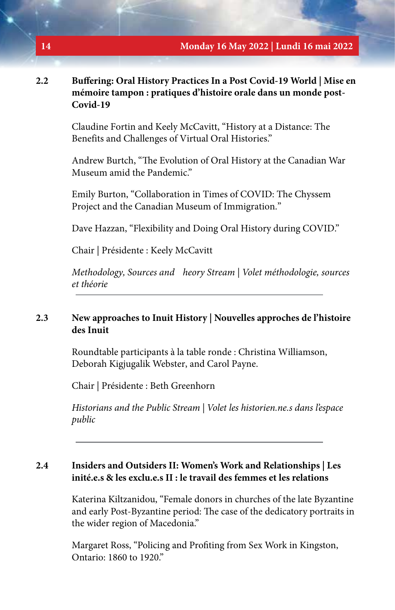#### **2.2 Buffering: Oral History Practices In a Post Covid-19 World | Mise en mémoire tampon : pratiques d'histoire orale dans un monde post-Covid-19**

Claudine Fortin and Keely McCavitt, "History at a Distance: The Benefits and Challenges of Virtual Oral Histories."

Andrew Burtch, "The Evolution of Oral History at the Canadian War Museum amid the Pandemic."

Emily Burton, "Collaboration in Times of COVID: The Chyssem Project and the Canadian Museum of Immigration."

Dave Hazzan, "Flexibility and Doing Oral History during COVID."

Chair | Présidente : Keely McCavitt

*Methodology, Sources and heory Stream | Volet méthodologie, sources et théorie*

#### **2.3 New approaches to Inuit History | Nouvelles approches de l'histoire des Inuit**

Roundtable participants à la table ronde : Christina Williamson, Deborah Kigjugalik Webster, and Carol Payne.

Chair | Présidente : Beth Greenhorn

*Historians and the Public Stream | Volet les historien.ne.s dans l'espace public*

# **2.4 Insiders and Outsiders II: Women's Work and Relationships | Les inité.e.s & les exclu.e.s II : le travail des femmes et les relations**

Katerina Kiltzanidou, "Female donors in churches of the late Byzantine and early Post-Byzantine period: The case of the dedicatory portraits in the wider region of Macedonia."

Margaret Ross, "Policing and Profiting from Sex Work in Kingston, Ontario: 1860 to 1920."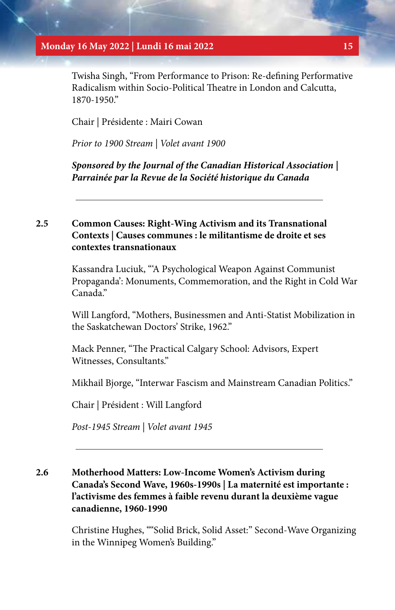#### **Monday 16 May 2022 | Lundi 16 mai 2022 15**

Twisha Singh, "From Performance to Prison: Re-defining Performative Radicalism within Socio-Political Theatre in London and Calcutta, 1870-1950."

Chair | Présidente : Mairi Cowan

*Prior to 1900 Stream | Volet avant 1900*

*Sponsored by the Journal of the Canadian Historical Association | Parrainée par la Revue de la Société historique du Canada*

# **2.5 Common Causes: Right-Wing Activism and its Transnational Contexts | Causes communes : le militantisme de droite et ses contextes transnationaux**

Kassandra Luciuk, "'A Psychological Weapon Against Communist Propaganda': Monuments, Commemoration, and the Right in Cold War Canada"

Will Langford, "Mothers, Businessmen and Anti-Statist Mobilization in the Saskatchewan Doctors' Strike, 1962."

Mack Penner, "The Practical Calgary School: Advisors, Expert Witnesses, Consultants."

Mikhail Bjorge, "Interwar Fascism and Mainstream Canadian Politics."

Chair | Président : Will Langford

*Post-1945 Stream | Volet avant 1945*

# **2.6 Motherhood Matters: Low-Income Women's Activism during Canada's Second Wave, 1960s-1990s | La maternité est importante : l'activisme des femmes à faible revenu durant la deuxième vague canadienne, 1960-1990**

Christine Hughes, ""Solid Brick, Solid Asset:" Second-Wave Organizing in the Winnipeg Women's Building."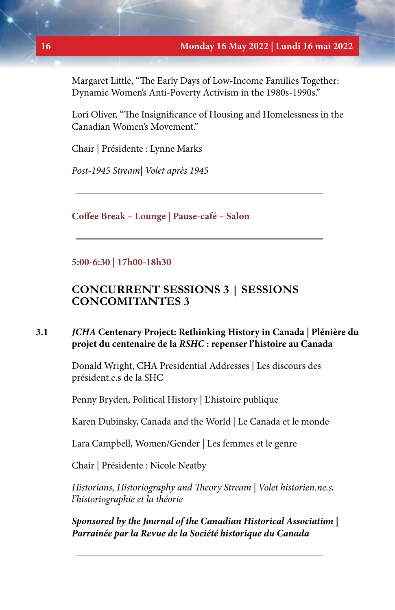Margaret Little, "The Early Days of Low-Income Families Together: Dynamic Women's Anti-Poverty Activism in the 1980s-1990s."

Lori Oliver, "The Insignificance of Housing and Homelessness in the Canadian Women's Movement."

Chair | Présidente : Lynne Marks

*Post-1945 Stream| Volet après 1945*

**Coffee Break – Lounge | Pause-café – Salon**

**5:00-6:30 | 17h00-18h30**

# **CONCURRENT SESSIONS 3 | SESSIONS CONCOMITANTES 3**

# **3.1** *JCHA* **Centenary Project: Rethinking History in Canada | Plénière du projet du centenaire de la** *RSHC* **: repenser l'histoire au Canada**

Donald Wright, CHA Presidential Addresses | Les discours des président.e.s de la SHC

Penny Bryden, Political History | L'histoire publique

Karen Dubinsky, Canada and the World | Le Canada et le monde

Lara Campbell, Women/Gender | Les femmes et le genre

Chair | Présidente : Nicole Neatby

*Historians, Historiography and Theory Stream | Volet historien.ne.s, l'historiographie et la théorie*

*Sponsored by the Journal of the Canadian Historical Association | Parrainée par la Revue de la Société historique du Canada*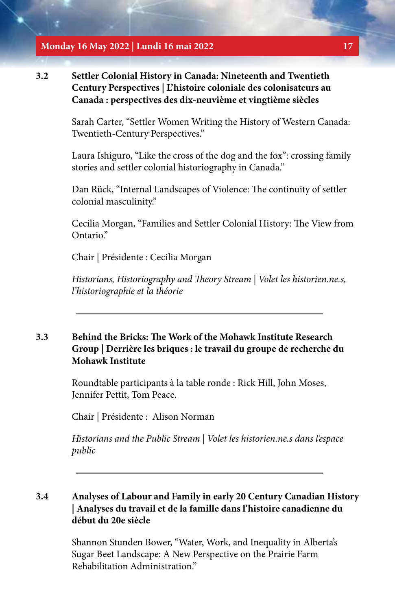**Monday 16 May 2022 | Lundi 16 mai 2022 17**

**3.2 Settler Colonial History in Canada: Nineteenth and Twentieth Century Perspectives | L'histoire coloniale des colonisateurs au Canada : perspectives des dix-neuvième et vingtième siècles**

> Sarah Carter, "Settler Women Writing the History of Western Canada: Twentieth-Century Perspectives."

> Laura Ishiguro, "Like the cross of the dog and the fox": crossing family stories and settler colonial historiography in Canada."

Dan Rück, "Internal Landscapes of Violence: The continuity of settler colonial masculinity."

Cecilia Morgan, "Families and Settler Colonial History: The View from Ontario."

Chair | Présidente : Cecilia Morgan

*Historians, Historiography and Theory Stream | Volet les historien.ne.s, l'historiographie et la théorie*

# **3.3 Behind the Bricks: The Work of the Mohawk Institute Research Group | Derrière les briques : le travail du groupe de recherche du Mohawk Institute**

Roundtable participants à la table ronde : Rick Hill, John Moses, Jennifer Pettit, Tom Peace.

Chair | Présidente : Alison Norman

*Historians and the Public Stream | Volet les historien.ne.s dans l'espace public*

# **3.4 Analyses of Labour and Family in early 20 Century Canadian History | Analyses du travail et de la famille dans l'histoire canadienne du début du 20e siècle**

Shannon Stunden Bower, "Water, Work, and Inequality in Alberta's Sugar Beet Landscape: A New Perspective on the Prairie Farm Rehabilitation Administration."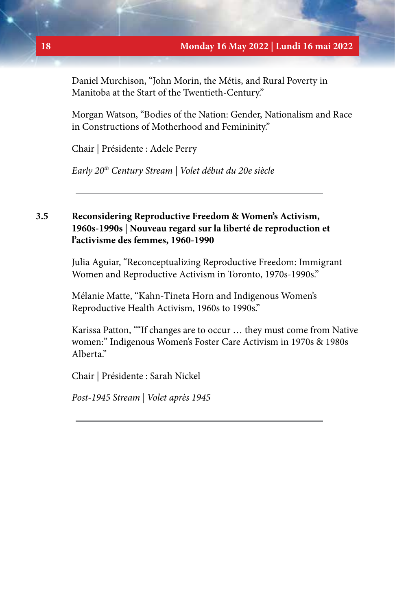Daniel Murchison, "John Morin, the Métis, and Rural Poverty in Manitoba at the Start of the Twentieth-Century."

Morgan Watson, "Bodies of the Nation: Gender, Nationalism and Race in Constructions of Motherhood and Femininity."

Chair | Présidente : Adele Perry

*Early 20th Century Stream | Volet début du 20e siècle*

# **3.5 Reconsidering Reproductive Freedom & Women's Activism, 1960s-1990s | Nouveau regard sur la liberté de reproduction et l'activisme des femmes, 1960-1990**

Julia Aguiar, "Reconceptualizing Reproductive Freedom: Immigrant Women and Reproductive Activism in Toronto, 1970s-1990s."

Mélanie Matte, "Kahn-Tineta Horn and Indigenous Women's Reproductive Health Activism, 1960s to 1990s."

Karissa Patton, ""If changes are to occur … they must come from Native women:" Indigenous Women's Foster Care Activism in 1970s & 1980s Alberta."

Chair | Présidente : Sarah Nickel

*Post-1945 Stream | Volet après 1945*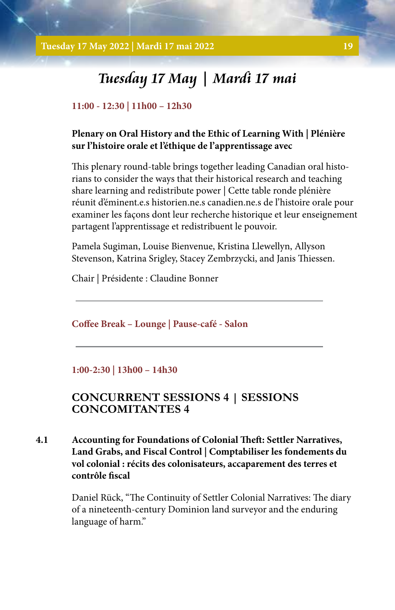# **Tuesday 17 May | Mardi 17 mai**

#### **11:00 - 12:30 | 11h00 – 12h30**

### **Plenary on Oral History and the Ethic of Learning With | Plénière sur l'histoire orale et l'éthique de l'apprentissage avec**

This plenary round-table brings together leading Canadian oral historians to consider the ways that their historical research and teaching share learning and redistribute power | Cette table ronde plénière réunit d'éminent.e.s historien.ne.s canadien.ne.s de l'histoire orale pour examiner les façons dont leur recherche historique et leur enseignement partagent l'apprentissage et redistribuent le pouvoir.

Pamela Sugiman, Louise Bienvenue, Kristina Llewellyn, Allyson Stevenson, Katrina Srigley, Stacey Zembrzycki, and Janis Thiessen.

Chair | Présidente : Claudine Bonner

**Coffee Break – Lounge | Pause-café - Salon**

#### **1:00-2:30 | 13h00 – 14h30**

# **CONCURRENT SESSIONS 4 | SESSIONS CONCOMITANTES 4**

**4.1 Accounting for Foundations of Colonial Theft: Settler Narratives, Land Grabs, and Fiscal Control | Comptabiliser les fondements du vol colonial : récits des colonisateurs, accaparement des terres et contrôle fiscal** 

> Daniel Rück, "The Continuity of Settler Colonial Narratives: The diary of a nineteenth-century Dominion land surveyor and the enduring language of harm."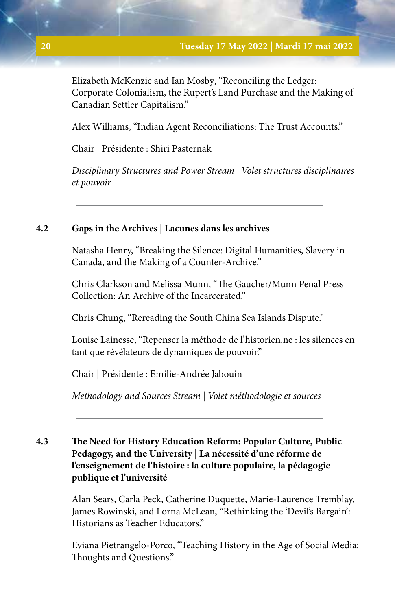Elizabeth McKenzie and Ian Mosby, "Reconciling the Ledger: Corporate Colonialism, the Rupert's Land Purchase and the Making of Canadian Settler Capitalism."

Alex Williams, "Indian Agent Reconciliations: The Trust Accounts."

Chair | Présidente : Shiri Pasternak

*Disciplinary Structures and Power Stream | Volet structures disciplinaires et pouvoir*

# **4.2 Gaps in the Archives | Lacunes dans les archives**

Natasha Henry, "Breaking the Silence: Digital Humanities, Slavery in Canada, and the Making of a Counter-Archive."

Chris Clarkson and Melissa Munn, "The Gaucher/Munn Penal Press Collection: An Archive of the Incarcerated."

Chris Chung, "Rereading the South China Sea Islands Dispute."

Louise Lainesse, "Repenser la méthode de l'historien.ne : les silences en tant que révélateurs de dynamiques de pouvoir."

Chair | Présidente : Emilie-Andrée Jabouin

*Methodology and Sources Stream | Volet méthodologie et sources*

# **4.3 The Need for History Education Reform: Popular Culture, Public Pedagogy, and the University | La nécessité d'une réforme de l'enseignement de l'histoire : la culture populaire, la pédagogie publique et l'université**

Alan Sears, Carla Peck, Catherine Duquette, Marie-Laurence Tremblay, James Rowinski, and Lorna McLean, "Rethinking the 'Devil's Bargain': Historians as Teacher Educators."

Eviana Pietrangelo-Porco, "Teaching History in the Age of Social Media: Thoughts and Questions."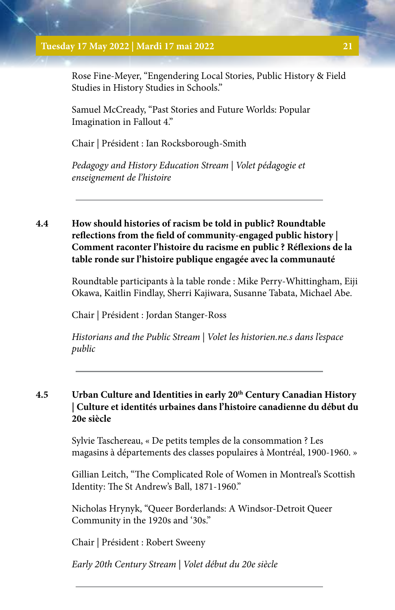#### **Tuesday 17 May 2022 | Mardi 17 mai 2022 21**

Rose Fine-Meyer, "Engendering Local Stories, Public History & Field Studies in History Studies in Schools."

Samuel McCready, "Past Stories and Future Worlds: Popular Imagination in Fallout 4."

Chair | Président : Ian Rocksborough-Smith

*Pedagogy and History Education Stream | Volet pédagogie et enseignement de l'histoire*

# **4.4 How should histories of racism be told in public? Roundtable reflections from the field of community-engaged public history | Comment raconter l'histoire du racisme en public ? Réflexions de la table ronde sur l'histoire publique engagée avec la communauté**

Roundtable participants à la table ronde : Mike Perry-Whittingham, Eiji Okawa, Kaitlin Findlay, Sherri Kajiwara, Susanne Tabata, Michael Abe.

Chair | Président : Jordan Stanger-Ross

*Historians and the Public Stream | Volet les historien.ne.s dans l'espace public*

# **4.5 Urban Culture and Identities in early 20th Century Canadian History | Culture et identités urbaines dans l'histoire canadienne du début du 20e siècle**

Sylvie Taschereau, « De petits temples de la consommation ? Les magasins à départements des classes populaires à Montréal, 1900-1960. »

Gillian Leitch, "The Complicated Role of Women in Montreal's Scottish Identity: The St Andrew's Ball, 1871-1960."

Nicholas Hrynyk, "Queer Borderlands: A Windsor-Detroit Queer Community in the 1920s and '30s."

Chair | Président : Robert Sweeny

*Early 20th Century Stream | Volet début du 20e siècle*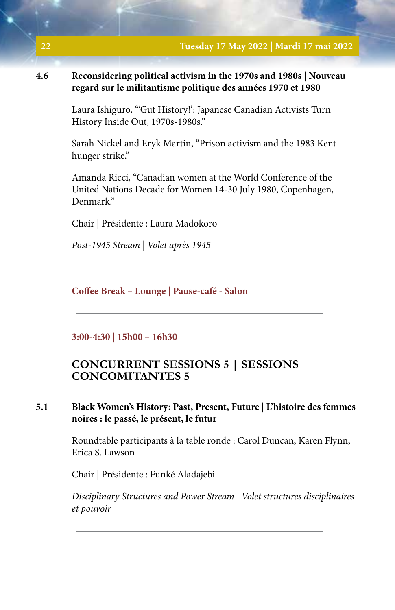# **4.6 Reconsidering political activism in the 1970s and 1980s | Nouveau regard sur le militantisme politique des années 1970 et 1980**

Laura Ishiguro, "'Gut History!': Japanese Canadian Activists Turn History Inside Out, 1970s-1980s."

Sarah Nickel and Eryk Martin, "Prison activism and the 1983 Kent hunger strike."

Amanda Ricci, "Canadian women at the World Conference of the United Nations Decade for Women 14-30 July 1980, Copenhagen, Denmark."

Chair | Présidente : Laura Madokoro

*Post-1945 Stream | Volet après 1945*

**Coffee Break – Lounge | Pause-café - Salon**

**3:00-4:30 | 15h00 – 16h30**

# **CONCURRENT SESSIONS 5 | SESSIONS CONCOMITANTES 5**

# **5.1 Black Women's History: Past, Present, Future | L'histoire des femmes noires : le passé, le présent, le futur**

Roundtable participants à la table ronde : Carol Duncan, Karen Flynn, Erica S. Lawson

Chair | Présidente : Funké Aladajebi

*Disciplinary Structures and Power Stream | Volet structures disciplinaires et pouvoir*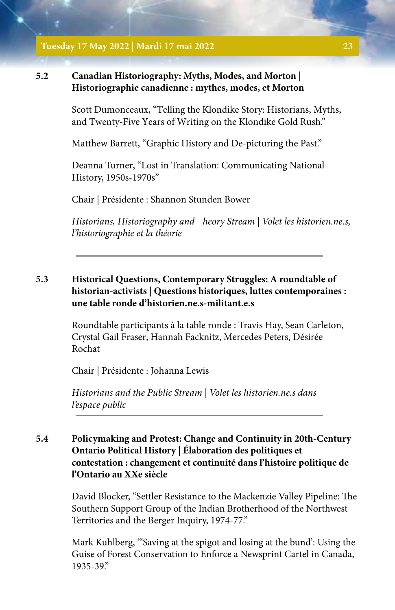#### **Tuesday 17 May 2022 | Mardi 17 mai 2022 23**

### **5.2 Canadian Historiography: Myths, Modes, and Morton | Historiographie canadienne : mythes, modes, et Morton**

Scott Dumonceaux, "Telling the Klondike Story: Historians, Myths, and Twenty-Five Years of Writing on the Klondike Gold Rush."

Matthew Barrett, "Graphic History and De-picturing the Past."

Deanna Turner, "Lost in Translation: Communicating National History, 1950s-1970s"

Chair | Présidente : Shannon Stunden Bower

*Historians, Historiography and heory Stream | Volet les historien.ne.s, l'historiographie et la théorie*

# **5.3 Historical Questions, Contemporary Struggles: A roundtable of historian-activists | Questions historiques, luttes contemporaines : une table ronde d'historien.ne.s-militant.e.s**

Roundtable participants à la table ronde : Travis Hay, Sean Carleton, Crystal Gail Fraser, Hannah Facknitz, Mercedes Peters, Désirée Rochat

Chair | Présidente : Johanna Lewis

*Historians and the Public Stream | Volet les historien.ne.s dans l'espace public*

# **5.4 Policymaking and Protest: Change and Continuity in 20th-Century Ontario Political History | Élaboration des politiques et contestation : changement et continuité dans l'histoire politique de l'Ontario au XXe siècle**

David Blocker, "Settler Resistance to the Mackenzie Valley Pipeline: The Southern Support Group of the Indian Brotherhood of the Northwest Territories and the Berger Inquiry, 1974-77."

Mark Kuhlberg, "'Saving at the spigot and losing at the bund': Using the Guise of Forest Conservation to Enforce a Newsprint Cartel in Canada, 1935-39."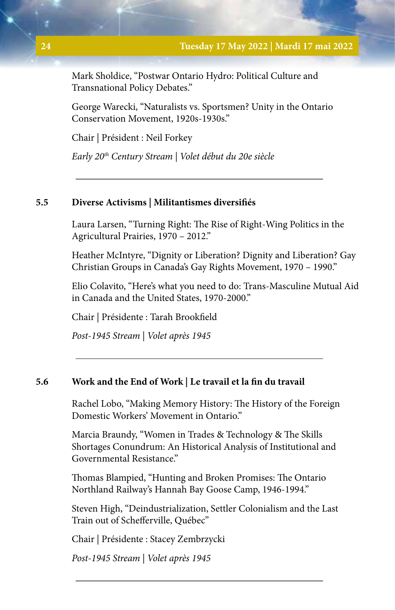Mark Sholdice, "Postwar Ontario Hydro: Political Culture and Transnational Policy Debates."

George Warecki, "Naturalists vs. Sportsmen? Unity in the Ontario Conservation Movement, 1920s-1930s."

Chair | Président : Neil Forkey

*Early 20th Century Stream | Volet début du 20e siècle*

### **5.5 Diverse Activisms | Militantismes diversifiés**

Laura Larsen, "Turning Right: The Rise of Right-Wing Politics in the Agricultural Prairies, 1970 – 2012."

Heather McIntyre, "Dignity or Liberation? Dignity and Liberation? Gay Christian Groups in Canada's Gay Rights Movement, 1970 – 1990."

Elio Colavito, "Here's what you need to do: Trans-Masculine Mutual Aid in Canada and the United States, 1970-2000."

Chair | Présidente : Tarah Brookfield

*Post-1945 Stream | Volet après 1945*

#### **5.6 Work and the End of Work | Le travail et la fin du travail**

Rachel Lobo, "Making Memory History: The History of the Foreign Domestic Workers' Movement in Ontario."

Marcia Braundy, "Women in Trades & Technology & The Skills Shortages Conundrum: An Historical Analysis of Institutional and Governmental Resistance."

Thomas Blampied, "Hunting and Broken Promises: The Ontario Northland Railway's Hannah Bay Goose Camp, 1946-1994."

Steven High, "Deindustrialization, Settler Colonialism and the Last Train out of Schefferville, Québec"

Chair | Présidente : Stacey Zembrzycki

*Post-1945 Stream | Volet après 1945*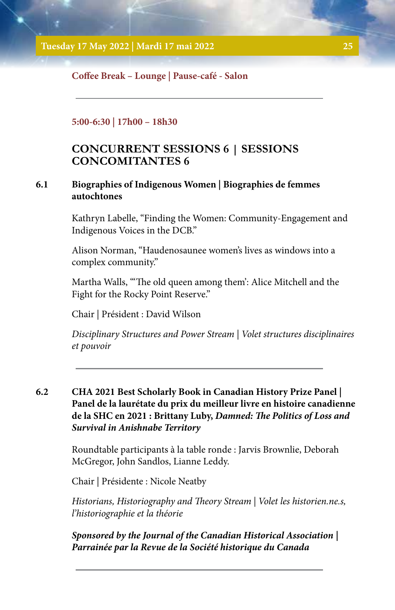### **Coffee Break – Lounge | Pause-café - Salon**

#### **5:00-6:30 | 17h00 – 18h30**

# **CONCURRENT SESSIONS 6 | SESSIONS CONCOMITANTES 6**

### **6.1 Biographies of Indigenous Women | Biographies de femmes autochtones**

Kathryn Labelle, "Finding the Women: Community-Engagement and Indigenous Voices in the DCB."

Alison Norman, "Haudenosaunee women's lives as windows into a complex community."

Martha Walls, "'The old queen among them': Alice Mitchell and the Fight for the Rocky Point Reserve."

Chair | Président : David Wilson

*Disciplinary Structures and Power Stream | Volet structures disciplinaires et pouvoir*

**6.2 CHA 2021 Best Scholarly Book in Canadian History Prize Panel | Panel de la laurétate du prix du meilleur livre en histoire canadienne de la SHC en 2021 : Brittany Luby,** *Damned: The Politics of Loss and Survival in Anishnabe Territory*

> Roundtable participants à la table ronde : Jarvis Brownlie, Deborah McGregor, John Sandlos, Lianne Leddy.

Chair | Présidente : Nicole Neatby

*Historians, Historiography and Theory Stream | Volet les historien.ne.s, l'historiographie et la théorie*

*Sponsored by the Journal of the Canadian Historical Association | Parrainée par la Revue de la Société historique du Canada*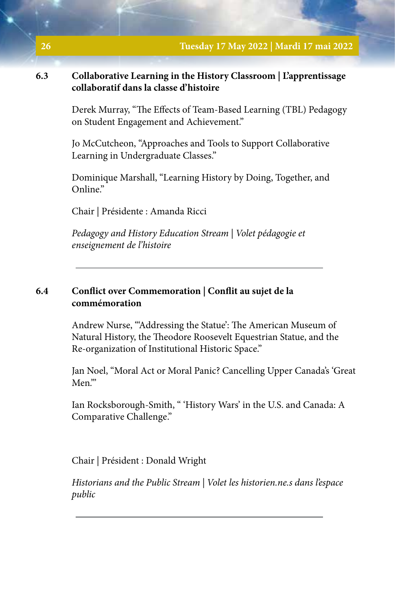# **6.3 Collaborative Learning in the History Classroom | L'apprentissage collaboratif dans la classe d'histoire**

Derek Murray, "The Effects of Team-Based Learning (TBL) Pedagogy on Student Engagement and Achievement."

Jo McCutcheon, "Approaches and Tools to Support Collaborative Learning in Undergraduate Classes."

Dominique Marshall, "Learning History by Doing, Together, and Online."

Chair | Présidente : Amanda Ricci

*Pedagogy and History Education Stream | Volet pédagogie et enseignement de l'histoire*

# **6.4 Conflict over Commemoration | Conflit au sujet de la commémoration**

Andrew Nurse, "'Addressing the Statue': The American Museum of Natural History, the Theodore Roosevelt Equestrian Statue, and the Re-organization of Institutional Historic Space."

Jan Noel, "Moral Act or Moral Panic? Cancelling Upper Canada's 'Great Men<sup>"</sup>

Ian Rocksborough-Smith, " 'History Wars' in the U.S. and Canada: A Comparative Challenge."

Chair | Président : Donald Wright

*Historians and the Public Stream | Volet les historien.ne.s dans l'espace public*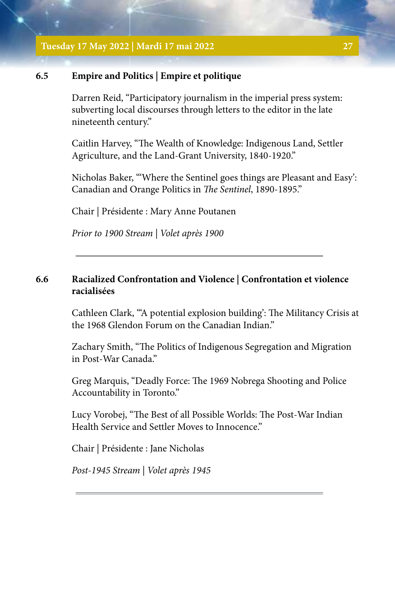**Tuesday 17 May 2022 | Mardi 17 mai 2022 27**

#### **6.5 Empire and Politics | Empire et politique**

Darren Reid, "Participatory journalism in the imperial press system: subverting local discourses through letters to the editor in the late nineteenth century."

Caitlin Harvey, "The Wealth of Knowledge: Indigenous Land, Settler Agriculture, and the Land-Grant University, 1840-1920."

Nicholas Baker, "'Where the Sentinel goes things are Pleasant and Easy': Canadian and Orange Politics in *The Sentinel*, 1890-1895."

Chair | Présidente : Mary Anne Poutanen

*Prior to 1900 Stream | Volet après 1900*

# **6.6 Racialized Confrontation and Violence | Confrontation et violence racialisées**

Cathleen Clark, "'A potential explosion building': The Militancy Crisis at the 1968 Glendon Forum on the Canadian Indian."

Zachary Smith, "The Politics of Indigenous Segregation and Migration in Post-War Canada."

Greg Marquis, "Deadly Force: The 1969 Nobrega Shooting and Police Accountability in Toronto."

Lucy Vorobej, "The Best of all Possible Worlds: The Post-War Indian Health Service and Settler Moves to Innocence."

Chair | Présidente : Jane Nicholas

*Post-1945 Stream | Volet après 1945*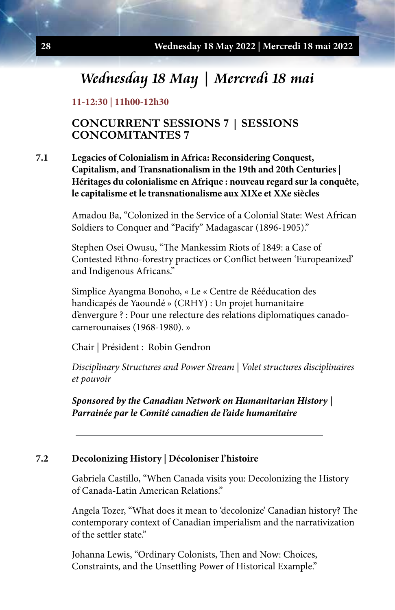# **Wednesday 18 May | Mercredi 18 mai**

#### **11-12:30 | 11h00-12h30**

# **CONCURRENT SESSIONS 7 | SESSIONS CONCOMITANTES 7**

# **7.1 Legacies of Colonialism in Africa: Reconsidering Conquest, Capitalism, and Transnationalism in the 19th and 20th Centuries | Héritages du colonialisme en Afrique : nouveau regard sur la conquête, le capitalisme et le transnationalisme aux XIXe et XXe siècles**

Amadou Ba, "Colonized in the Service of a Colonial State: West African Soldiers to Conquer and "Pacify" Madagascar (1896-1905)."

Stephen Osei Owusu, "The Mankessim Riots of 1849: a Case of Contested Ethno-forestry practices or Conflict between 'Europeanized' and Indigenous Africans."

Simplice Ayangma Bonoho, « Le « Centre de Rééducation des handicapés de Yaoundé » (CRHY) : Un projet humanitaire d'envergure ? : Pour une relecture des relations diplomatiques canadocamerounaises (1968-1980). »

Chair | Président : Robin Gendron

*Disciplinary Structures and Power Stream | Volet structures disciplinaires et pouvoir* 

*Sponsored by the Canadian Network on Humanitarian History | Parrainée par le Comité canadien de l'aide humanitaire*

#### **7.2 Decolonizing History | Décoloniser l'histoire**

Gabriela Castillo, "When Canada visits you: Decolonizing the History of Canada-Latin American Relations."

Angela Tozer, "What does it mean to 'decolonize' Canadian history? The contemporary context of Canadian imperialism and the narrativization of the settler state."

Johanna Lewis, "Ordinary Colonists, Then and Now: Choices, Constraints, and the Unsettling Power of Historical Example."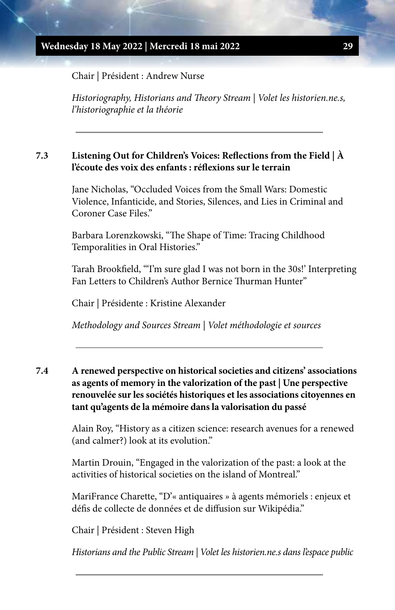Chair | Président : Andrew Nurse

*Historiography, Historians and Theory Stream | Volet les historien.ne.s, l'historiographie et la théorie*

## **7.3 Listening Out for Children's Voices: Reflections from the Field | À l'écoute des voix des enfants : réflexions sur le terrain**

Jane Nicholas, "Occluded Voices from the Small Wars: Domestic Violence, Infanticide, and Stories, Silences, and Lies in Criminal and Coroner Case Files."

Barbara Lorenzkowski, "The Shape of Time: Tracing Childhood Temporalities in Oral Histories."

Tarah Brookfield, "'I'm sure glad I was not born in the 30s!' Interpreting Fan Letters to Children's Author Bernice Thurman Hunter"

Chair | Présidente : Kristine Alexander

*Methodology and Sources Stream | Volet méthodologie et sources*

**7.4 A renewed perspective on historical societies and citizens' associations as agents of memory in the valorization of the past | Une perspective renouvelée sur les sociétés historiques et les associations citoyennes en tant qu'agents de la mémoire dans la valorisation du passé**

> Alain Roy, "History as a citizen science: research avenues for a renewed (and calmer?) look at its evolution."

Martin Drouin, "Engaged in the valorization of the past: a look at the activities of historical societies on the island of Montreal."

MariFrance Charette, "D'« antiquaires » à agents mémoriels : enjeux et défis de collecte de données et de diffusion sur Wikipédia."

Chair | Président : Steven High

*Historians and the Public Stream | Volet les historien.ne.s dans l'espace public*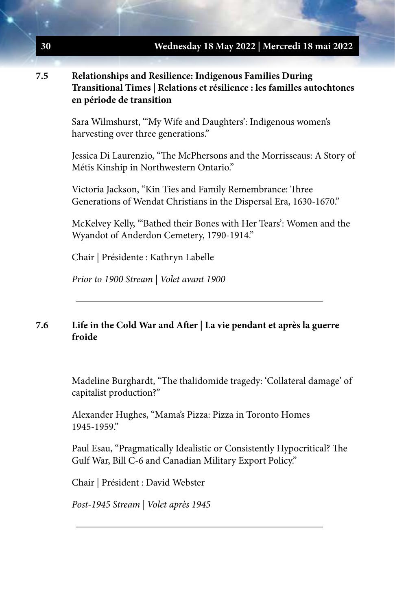# **7.5 Relationships and Resilience: Indigenous Families During Transitional Times | Relations et résilience : les familles autochtones en période de transition**

Sara Wilmshurst, "'My Wife and Daughters': Indigenous women's harvesting over three generations."

Jessica Di Laurenzio, "The McPhersons and the Morrisseaus: A Story of Métis Kinship in Northwestern Ontario."

Victoria Jackson, "Kin Ties and Family Remembrance: Three Generations of Wendat Christians in the Dispersal Era, 1630-1670."

McKelvey Kelly, "'Bathed their Bones with Her Tears': Women and the Wyandot of Anderdon Cemetery, 1790-1914."

Chair | Présidente : Kathryn Labelle

*Prior to 1900 Stream | Volet avant 1900*

# **7.6 Life in the Cold War and After | La vie pendant et après la guerre froide**

Madeline Burghardt, "The thalidomide tragedy: 'Collateral damage' of capitalist production?"

Alexander Hughes, "Mama's Pizza: Pizza in Toronto Homes 1945-1959."

Paul Esau, "Pragmatically Idealistic or Consistently Hypocritical? The Gulf War, Bill C-6 and Canadian Military Export Policy."

Chair | Président : David Webster

*Post-1945 Stream | Volet après 1945*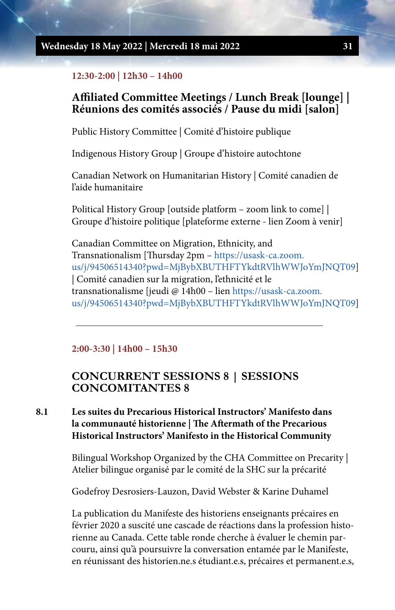#### **Wednesday 18 May 2022 | Mercredi 18 mai 2022 31**

#### **12:30-2:00 | 12h30 – 14h00**

# **Affiliated Committee Meetings / Lunch Break [lounge] | Réunions des comités associés / Pause du midi [salon]**

Public History Committee | Comité d'histoire publique

Indigenous History Group | Groupe d'histoire autochtone

Canadian Network on Humanitarian History | Comité canadien de l'aide humanitaire

Political History Group [outside platform – zoom link to come] | Groupe d'histoire politique [plateforme externe - lien Zoom à venir]

Canadian Committee on Migration, Ethnicity, and Transnationalism [Thursday 2pm – [https://usask-ca.zoom.](https://usask-ca.zoom.us/j/94506514340?pwd=MjBybXBUTHFTYkdtRVlhWWJoYmJNQT09) [us/j/94506514340?pwd=MjBybXBUTHFTYkdtRVlhWWJoYmJNQT09](https://usask-ca.zoom.us/j/94506514340?pwd=MjBybXBUTHFTYkdtRVlhWWJoYmJNQT09)] | Comité canadien sur la migration, l'ethnicité et le transnationalisme [jeudi @ 14h00 – lien [https://usask-ca.zoom.](https://usask-ca.zoom.us/j/94506514340?pwd=MjBybXBUTHFTYkdtRVlhWWJoYmJNQT09) [us/j/94506514340?pwd=MjBybXBUTHFTYkdtRVlhWWJoYmJNQT09](https://usask-ca.zoom.us/j/94506514340?pwd=MjBybXBUTHFTYkdtRVlhWWJoYmJNQT09)]

#### **2:00-3:30 | 14h00 – 15h30**

# **CONCURRENT SESSIONS 8 | SESSIONS CONCOMITANTES 8**

# **8.1 Les suites du Precarious Historical Instructors' Manifesto dans la communauté historienne | The Aftermath of the Precarious Historical Instructors' Manifesto in the Historical Community**

Bilingual Workshop Organized by the CHA Committee on Precarity | Atelier bilingue organisé par le comité de la SHC sur la précarité

Godefroy Desrosiers-Lauzon, David Webster & Karine Duhamel

La publication du Manifeste des historiens enseignants précaires en février 2020 a suscité une cascade de réactions dans la profession historienne au Canada. Cette table ronde cherche à évaluer le chemin parcouru, ainsi qu'à poursuivre la conversation entamée par le Manifeste, en réunissant des historien.ne.s étudiant.e.s, précaires et permanent.e.s,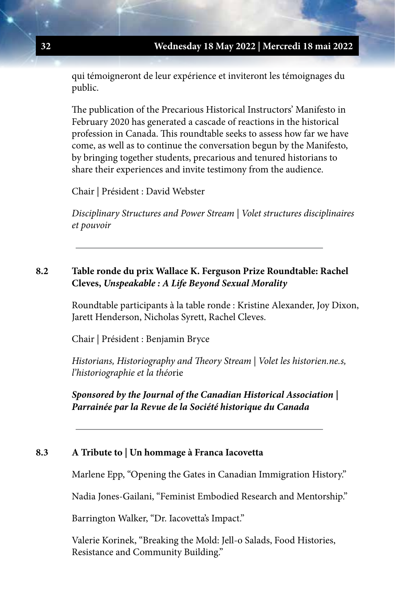qui témoigneront de leur expérience et inviteront les témoignages du public.

The publication of the Precarious Historical Instructors' Manifesto in February 2020 has generated a cascade of reactions in the historical profession in Canada. This roundtable seeks to assess how far we have come, as well as to continue the conversation begun by the Manifesto, by bringing together students, precarious and tenured historians to share their experiences and invite testimony from the audience.

Chair | Président : David Webster

*Disciplinary Structures and Power Stream | Volet structures disciplinaires et pouvoir*

# **8.2 Table ronde du prix Wallace K. Ferguson Prize Roundtable: Rachel Cleves,** *Unspeakable : A Life Beyond Sexual Morality*

Roundtable participants à la table ronde : Kristine Alexander, Joy Dixon, Jarett Henderson, Nicholas Syrett, Rachel Cleves.

Chair | Président : Benjamin Bryce

*Historians, Historiography and Theory Stream | Volet les historien.ne.s, l'historiographie et la théo*rie

*Sponsored by the Journal of the Canadian Historical Association | Parrainée par la Revue de la Société historique du Canada*

#### **8.3 A Tribute to | Un hommage à Franca Iacovetta**

Marlene Epp, "Opening the Gates in Canadian Immigration History."

Nadia Jones-Gailani, "Feminist Embodied Research and Mentorship."

Barrington Walker, "Dr. Iacovetta's Impact."

Valerie Korinek, "Breaking the Mold: Jell-o Salads, Food Histories, Resistance and Community Building."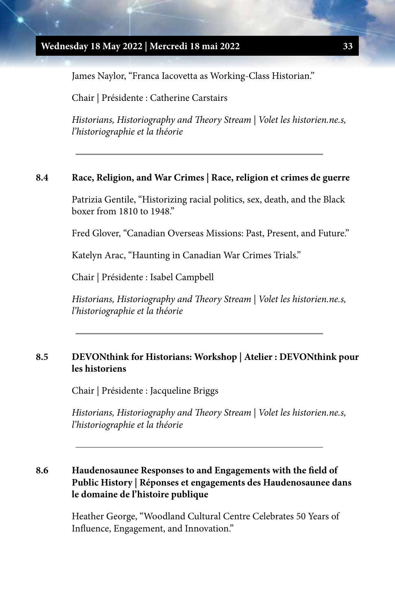James Naylor, "Franca Iacovetta as Working-Class Historian."

Chair | Présidente : Catherine Carstairs

*Historians, Historiography and Theory Stream | Volet les historien.ne.s, l'historiographie et la théorie*

#### **8.4 Race, Religion, and War Crimes | Race, religion et crimes de guerre**

Patrizia Gentile, "Historizing racial politics, sex, death, and the Black boxer from 1810 to 1948."

Fred Glover, "Canadian Overseas Missions: Past, Present, and Future."

Katelyn Arac, "Haunting in Canadian War Crimes Trials."

Chair | Présidente : Isabel Campbell

*Historians, Historiography and Theory Stream | Volet les historien.ne.s, l'historiographie et la théorie*

# **8.5 DEVONthink for Historians: Workshop | Atelier : DEVONthink pour les historiens**

Chair | Présidente : Jacqueline Briggs

*Historians, Historiography and Theory Stream | Volet les historien.ne.s, l'historiographie et la théorie*

# **8.6 Haudenosaunee Responses to and Engagements with the field of Public History | Réponses et engagements des Haudenosaunee dans le domaine de l'histoire publique**

Heather George, "Woodland Cultural Centre Celebrates 50 Years of Influence, Engagement, and Innovation."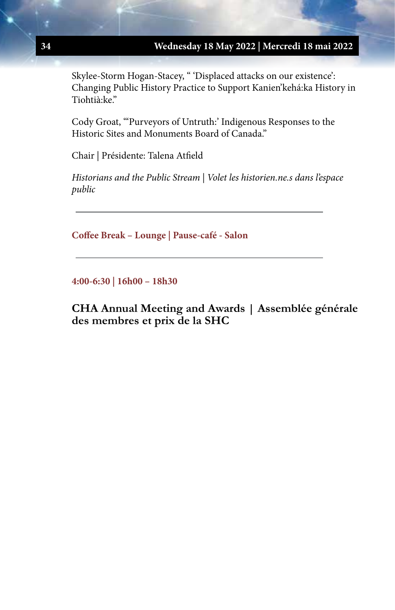Skylee-Storm Hogan-Stacey, " 'Displaced attacks on our existence': Changing Public History Practice to Support Kanien'kehá:ka History in Tiohtià:ke."

Cody Groat, "'Purveyors of Untruth:' Indigenous Responses to the Historic Sites and Monuments Board of Canada."

Chair | Présidente: Talena Atfield

*Historians and the Public Stream | Volet les historien.ne.s dans l'espace public*

**Coffee Break – Lounge | Pause-café - Salon**

**4:00-6:30 | 16h00 – 18h30**

**CHA Annual Meeting and Awards | Assemblée générale des membres et prix de la SHC**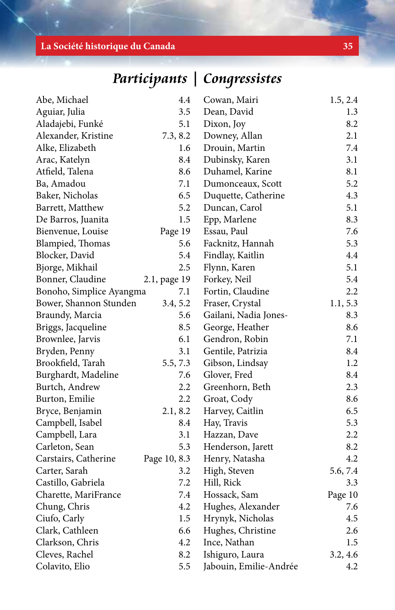# **La Société historique du Canada 35**

**Participants | Congressistes**

| Abe, Michael             | 4.4          | Cowan, Mairi           | 1.5, 2.4 |
|--------------------------|--------------|------------------------|----------|
| Aguiar, Julia            | 3.5          | Dean, David            | 1.3      |
| Aladajebi, Funké         | 5.1          | Dixon, Joy             | 8.2      |
| Alexander, Kristine      | 7.3, 8.2     | Downey, Allan          | 2.1      |
| Alke, Elizabeth          | 1.6          | Drouin, Martin         | 7.4      |
| Arac, Katelyn            | 8.4          | Dubinsky, Karen        | 3.1      |
| Atfield, Talena          | 8.6          | Duhamel, Karine        | 8.1      |
| Ba, Amadou               | 7.1          | Dumonceaux, Scott      | 5.2      |
| Baker, Nicholas          | 6.5          | Duquette, Catherine    | 4.3      |
| Barrett, Matthew         | 5.2          | Duncan, Carol          | 5.1      |
| De Barros, Juanita       | 1.5          | Epp, Marlene           | 8.3      |
| Bienvenue, Louise        | Page 19      | Essau, Paul            | 7.6      |
| Blampied, Thomas         | 5.6          | Facknitz, Hannah       | 5.3      |
| Blocker, David           | 5.4          | Findlay, Kaitlin       | 4.4      |
| Bjorge, Mikhail          | 2.5          | Flynn, Karen           | 5.1      |
| Bonner, Claudine         | 2.1, page 19 | Forkey, Neil           | 5.4      |
| Bonoho, Simplice Ayangma | 7.1          | Fortin, Claudine       | 2.2      |
| Bower, Shannon Stunden   | 3.4, 5.2     | Fraser, Crystal        | 1.1, 5.3 |
| Braundy, Marcia          | 5.6          | Gailani, Nadia Jones-  | 8.3      |
| Briggs, Jacqueline       | 8.5          | George, Heather        | 8.6      |
| Brownlee, Jarvis         | 6.1          | Gendron, Robin         | 7.1      |
| Bryden, Penny            | 3.1          | Gentile, Patrizia      | 8.4      |
| Brookfield, Tarah        | 5.5, 7.3     | Gibson, Lindsay        | 1.2      |
| Burghardt, Madeline      | 7.6          | Glover, Fred           | 8.4      |
| Burtch, Andrew           | 2.2          | Greenhorn, Beth        | 2.3      |
| Burton, Emilie           | 2.2          | Groat, Cody            | 8.6      |
| Bryce, Benjamin          | 2.1, 8.2     | Harvey, Caitlin        | 6.5      |
| Campbell, Isabel         | 8.4          | Hay, Travis            | 5.3      |
| Campbell, Lara           | 3.1          | Hazzan, Dave           | 2.2      |
| Carleton, Sean           | 5.3          | Henderson, Jarett      | 8.2      |
| Carstairs, Catherine     | Page 10, 8.3 | Henry, Natasha         | 4.2      |
| Carter, Sarah            | 3.2          | High, Steven           | 5.6, 7.4 |
| Castillo, Gabriela       | 7.2          | Hill, Rick             | 3.3      |
| Charette, MariFrance     | 7.4          | Hossack, Sam           | Page 10  |
| Chung, Chris             | 4.2          | Hughes, Alexander      | 7.6      |
| Ciufo, Carly             | 1.5          | Hrynyk, Nicholas       | 4.5      |
| Clark, Cathleen          | 6.6          | Hughes, Christine      | 2.6      |
| Clarkson, Chris          | 4.2          | Ince, Nathan           | 1.5      |
| Cleves, Rachel           | 8.2          | Ishiguro, Laura        | 3.2, 4.6 |
| Colavito, Elio           | 5.5          | Jabouin, Emilie-Andrée | 4.2      |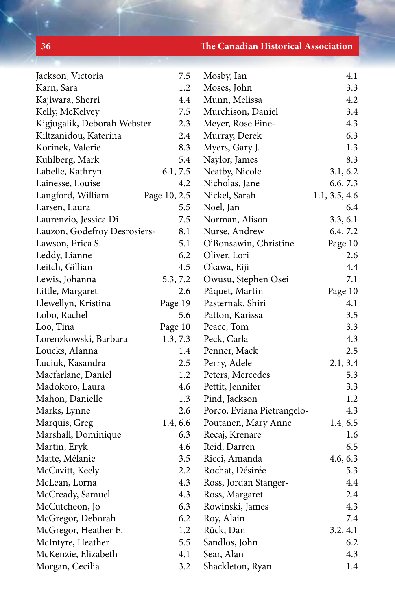**36 The Canadian Historical Association**

| Jackson, Victoria            | 7.5          | Mosby, Ian                 | 4.1           |
|------------------------------|--------------|----------------------------|---------------|
| Karn, Sara                   | 1.2          | Moses, John                | 3.3           |
| Kajiwara, Sherri             | 4.4          | Munn, Melissa              | 4.2           |
| Kelly, McKelvey              | 7.5          | Murchison, Daniel          | 3.4           |
| Kigjugalik, Deborah Webster  | 2.3          | Meyer, Rose Fine-          | 4.3           |
| Kiltzanidou, Katerina        | 2.4          | Murray, Derek              | 6.3           |
| Korinek, Valerie             | 8.3          | Myers, Gary J.             | 1.3           |
| Kuhlberg, Mark               | 5.4          | Naylor, James              | 8.3           |
| Labelle, Kathryn             | 6.1, 7.5     | Neatby, Nicole             | 3.1, 6.2      |
| Lainesse, Louise             | 4.2          | Nicholas, Jane             | 6.6, 7.3      |
| Langford, William            | Page 10, 2.5 | Nickel, Sarah              | 1.1, 3.5, 4.6 |
| Larsen, Laura                | 5.5          | Noel, Jan                  | 6.4           |
| Laurenzio, Jessica Di        | 7.5          | Norman, Alison             | 3.3, 6.1      |
| Lauzon, Godefroy Desrosiers- | 8.1          | Nurse, Andrew              | 6.4, 7.2      |
| Lawson, Erica S.             | 5.1          | O'Bonsawin, Christine      | Page 10       |
| Leddy, Lianne                | 6.2          | Oliver, Lori               | 2.6           |
| Leitch, Gillian              | 4.5          | Okawa, Eiji                | 4.4           |
| Lewis, Johanna               | 5.3, 7.2     | Owusu, Stephen Osei        | 7.1           |
| Little, Margaret             | 2.6          | Pâquet, Martin             | Page 10       |
| Llewellyn, Kristina          | Page 19      | Pasternak, Shiri           | 4.1           |
| Lobo, Rachel                 | 5.6          | Patton, Karissa            | 3.5           |
| Loo, Tina                    | Page 10      | Peace, Tom                 | 3.3           |
| Lorenzkowski, Barbara        | 1.3, 7.3     | Peck, Carla                | 4.3           |
| Loucks, Alanna               | 1.4          | Penner, Mack               | 2.5           |
| Luciuk, Kasandra             | 2.5          | Perry, Adele               | 2.1, 3.4      |
| Macfarlane, Daniel           | 1.2          | Peters, Mercedes           | 5.3           |
| Madokoro, Laura              | 4.6          | Pettit, Jennifer           | 3.3           |
| Mahon, Danielle              | 1.3          | Pind, Jackson              | 1.2           |
| Marks, Lynne                 | 2.6          | Porco, Eviana Pietrangelo- | 4.3           |
| Marquis, Greg                | 1.4, 6.6     | Poutanen, Mary Anne        | 1.4, 6.5      |
| Marshall, Dominique          | 6.3          | Recaj, Krenare             | 1.6           |
| Martin, Eryk                 | 4.6          | Reid, Darren               | 6.5           |
| Matte, Mélanie               | 3.5          | Ricci, Amanda              | 4.6, 6.3      |
| McCavitt, Keely              | 2.2          | Rochat, Désirée            | 5.3           |
| McLean, Lorna                | 4.3          | Ross, Jordan Stanger-      | 4.4           |
| McCready, Samuel             | 4.3          | Ross, Margaret             | 2.4           |
| McCutcheon, Jo               | 6.3          | Rowinski, James            | 4.3           |
| McGregor, Deborah            | 6.2          | Roy, Alain                 | 7.4           |
| McGregor, Heather E.         | $1.2\,$      | Rück, Dan                  | 3.2, 4.1      |
| McIntyre, Heather            | 5.5          | Sandlos, John              | 6.2           |
| McKenzie, Elizabeth          | 4.1          | Sear, Alan                 | 4.3           |
| Morgan, Cecilia              | 3.2          | Shackleton, Ryan           | 1.4           |
|                              |              |                            |               |